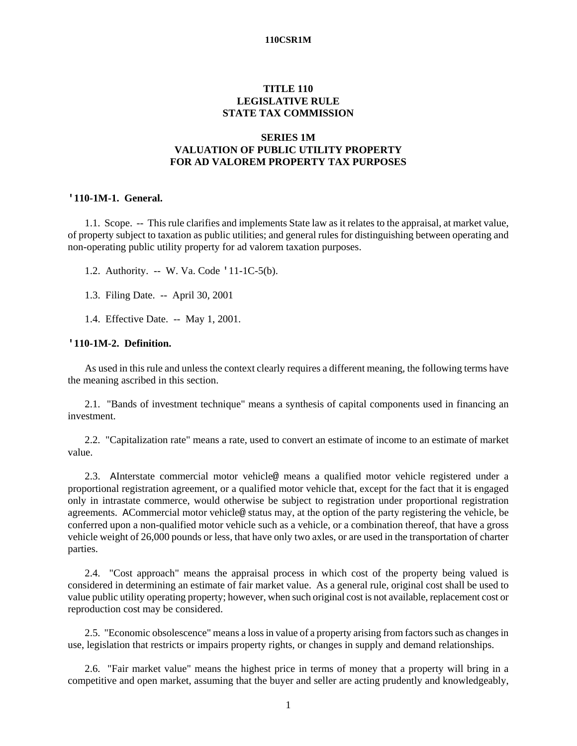# **TITLE 110 LEGISLATIVE RULE STATE TAX COMMISSION**

## **SERIES 1M VALUATION OF PUBLIC UTILITY PROPERTY FOR AD VALOREM PROPERTY TAX PURPOSES**

### **'110-1M-1. General.**

1.1. Scope. -- This rule clarifies and implements State law as it relates to the appraisal, at market value, of property subject to taxation as public utilities; and general rules for distinguishing between operating and non-operating public utility property for ad valorem taxation purposes.

1.2. Authority. -- W. Va. Code '11-1C-5(b).

1.3. Filing Date. -- April 30, 2001

1.4. Effective Date. -- May 1, 2001.

## **'110-1M-2. Definition.**

As used in this rule and unless the context clearly requires a different meaning, the following terms have the meaning ascribed in this section.

2.1. "Bands of investment technique" means a synthesis of capital components used in financing an investment.

2.2. "Capitalization rate" means a rate, used to convert an estimate of income to an estimate of market value.

2.3. AInterstate commercial motor vehicle@ means a qualified motor vehicle registered under a proportional registration agreement, or a qualified motor vehicle that, except for the fact that it is engaged only in intrastate commerce, would otherwise be subject to registration under proportional registration agreements. ACommercial motor vehicle@ status may, at the option of the party registering the vehicle, be conferred upon a non-qualified motor vehicle such as a vehicle, or a combination thereof, that have a gross vehicle weight of 26,000 pounds or less, that have only two axles, or are used in the transportation of charter parties.

2.4. "Cost approach" means the appraisal process in which cost of the property being valued is considered in determining an estimate of fair market value. As a general rule, original cost shall be used to value public utility operating property; however, when such original cost is not available, replacement cost or reproduction cost may be considered.

2.5. "Economic obsolescence" means a loss in value of a property arising from factors such as changes in use, legislation that restricts or impairs property rights, or changes in supply and demand relationships.

2.6. "Fair market value" means the highest price in terms of money that a property will bring in a competitive and open market, assuming that the buyer and seller are acting prudently and knowledgeably,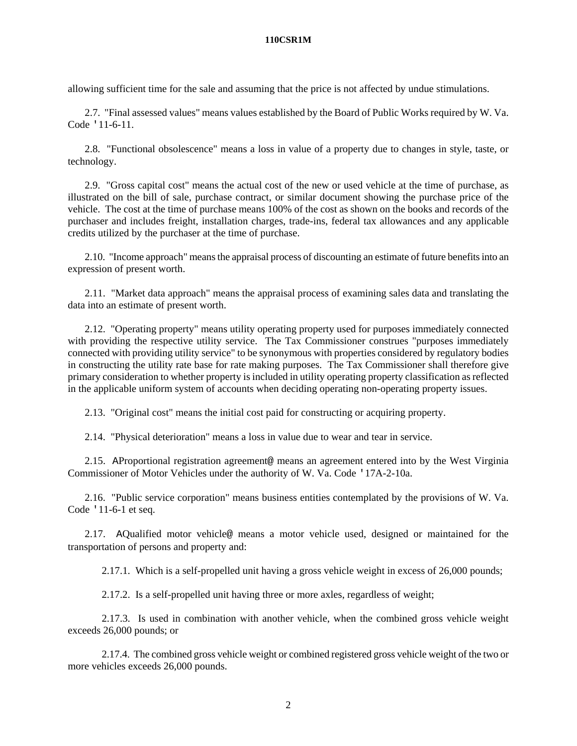allowing sufficient time for the sale and assuming that the price is not affected by undue stimulations.

2.7. "Final assessed values" means values established by the Board of Public Works required by W. Va. Code '11-6-11.

2.8. "Functional obsolescence" means a loss in value of a property due to changes in style, taste, or technology.

2.9. "Gross capital cost" means the actual cost of the new or used vehicle at the time of purchase, as illustrated on the bill of sale, purchase contract, or similar document showing the purchase price of the vehicle. The cost at the time of purchase means 100% of the cost as shown on the books and records of the purchaser and includes freight, installation charges, trade-ins, federal tax allowances and any applicable credits utilized by the purchaser at the time of purchase.

2.10. "Income approach" means the appraisal process of discounting an estimate of future benefits into an expression of present worth.

2.11. "Market data approach" means the appraisal process of examining sales data and translating the data into an estimate of present worth.

2.12. "Operating property" means utility operating property used for purposes immediately connected with providing the respective utility service. The Tax Commissioner construes "purposes immediately connected with providing utility service" to be synonymous with properties considered by regulatory bodies in constructing the utility rate base for rate making purposes. The Tax Commissioner shall therefore give primary consideration to whether property is included in utility operating property classification as reflected in the applicable uniform system of accounts when deciding operating non-operating property issues.

2.13. "Original cost" means the initial cost paid for constructing or acquiring property.

2.14. "Physical deterioration" means a loss in value due to wear and tear in service.

2.15. AProportional registration agreement@ means an agreement entered into by the West Virginia Commissioner of Motor Vehicles under the authority of W. Va. Code '17A-2-10a.

2.16. "Public service corporation" means business entities contemplated by the provisions of W. Va. Code '11-6-1 et seq.

2.17. AQualified motor vehicle@ means a motor vehicle used, designed or maintained for the transportation of persons and property and:

2.17.1. Which is a self-propelled unit having a gross vehicle weight in excess of 26,000 pounds;

2.17.2. Is a self-propelled unit having three or more axles, regardless of weight;

2.17.3. Is used in combination with another vehicle, when the combined gross vehicle weight exceeds 26,000 pounds; or

2.17.4. The combined gross vehicle weight or combined registered gross vehicle weight of the two or more vehicles exceeds 26,000 pounds.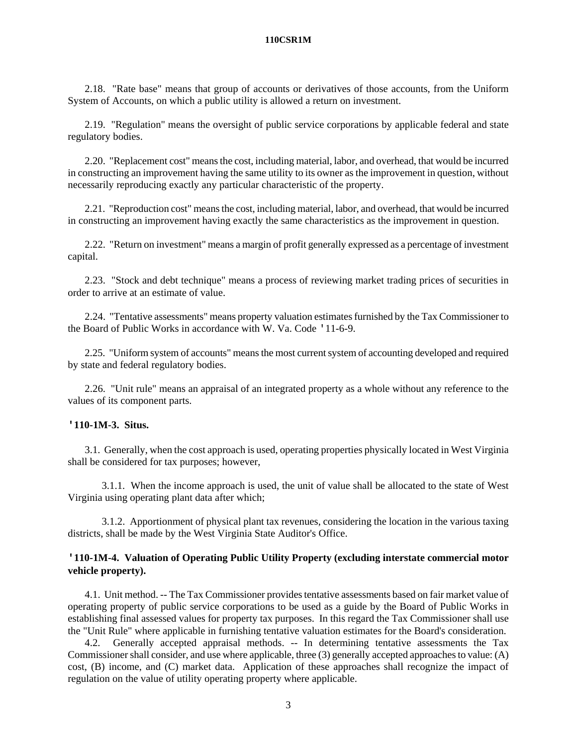2.18. "Rate base" means that group of accounts or derivatives of those accounts, from the Uniform System of Accounts, on which a public utility is allowed a return on investment.

2.19. "Regulation" means the oversight of public service corporations by applicable federal and state regulatory bodies.

2.20. "Replacement cost" means the cost, including material, labor, and overhead, that would be incurred in constructing an improvement having the same utility to its owner as the improvement in question, without necessarily reproducing exactly any particular characteristic of the property.

2.21. "Reproduction cost" means the cost, including material, labor, and overhead, that would be incurred in constructing an improvement having exactly the same characteristics as the improvement in question.

2.22. "Return on investment" means a margin of profit generally expressed as a percentage of investment capital.

2.23. "Stock and debt technique" means a process of reviewing market trading prices of securities in order to arrive at an estimate of value.

2.24. "Tentative assessments" means property valuation estimates furnished by the Tax Commissioner to the Board of Public Works in accordance with W. Va. Code '11-6-9.

2.25. "Uniform system of accounts" means the most current system of accounting developed and required by state and federal regulatory bodies.

2.26. "Unit rule" means an appraisal of an integrated property as a whole without any reference to the values of its component parts.

## **'110-1M-3. Situs.**

3.1. Generally, when the cost approach is used, operating properties physically located in West Virginia shall be considered for tax purposes; however,

3.1.1. When the income approach is used, the unit of value shall be allocated to the state of West Virginia using operating plant data after which;

3.1.2. Apportionment of physical plant tax revenues, considering the location in the various taxing districts, shall be made by the West Virginia State Auditor's Office.

# **'110-1M-4. Valuation of Operating Public Utility Property (excluding interstate commercial motor vehicle property).**

4.1. Unit method. -- The Tax Commissioner provides tentative assessments based on fair market value of operating property of public service corporations to be used as a guide by the Board of Public Works in establishing final assessed values for property tax purposes. In this regard the Tax Commissioner shall use the "Unit Rule" where applicable in furnishing tentative valuation estimates for the Board's consideration.

4.2. Generally accepted appraisal methods. -- In determining tentative assessments the Tax Commissioner shall consider, and use where applicable, three (3) generally accepted approaches to value: (A) cost, (B) income, and (C) market data. Application of these approaches shall recognize the impact of regulation on the value of utility operating property where applicable.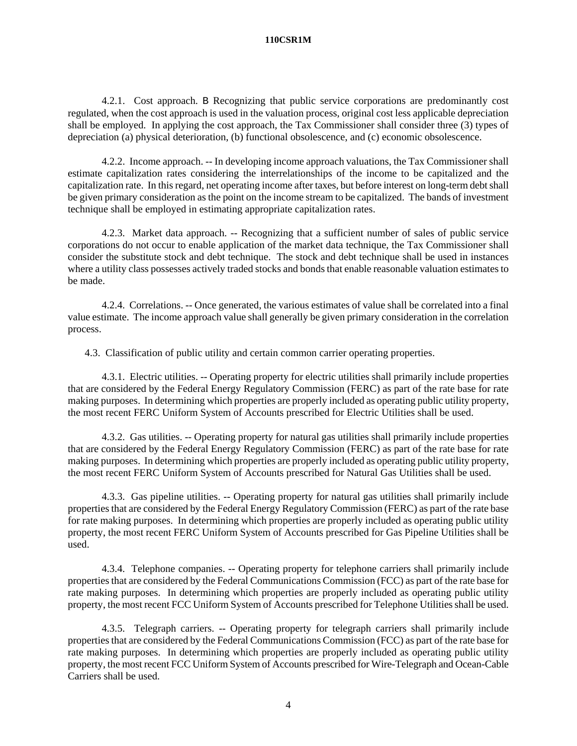4.2.1. Cost approach. B Recognizing that public service corporations are predominantly cost regulated, when the cost approach is used in the valuation process, original cost less applicable depreciation shall be employed. In applying the cost approach, the Tax Commissioner shall consider three (3) types of depreciation (a) physical deterioration, (b) functional obsolescence, and (c) economic obsolescence.

4.2.2. Income approach. -- In developing income approach valuations, the Tax Commissioner shall estimate capitalization rates considering the interrelationships of the income to be capitalized and the capitalization rate. In this regard, net operating income after taxes, but before interest on long-term debt shall be given primary consideration as the point on the income stream to be capitalized. The bands of investment technique shall be employed in estimating appropriate capitalization rates.

4.2.3. Market data approach. -- Recognizing that a sufficient number of sales of public service corporations do not occur to enable application of the market data technique, the Tax Commissioner shall consider the substitute stock and debt technique. The stock and debt technique shall be used in instances where a utility class possesses actively traded stocks and bonds that enable reasonable valuation estimates to be made.

4.2.4. Correlations. -- Once generated, the various estimates of value shall be correlated into a final value estimate. The income approach value shall generally be given primary consideration in the correlation process.

4.3. Classification of public utility and certain common carrier operating properties.

4.3.1. Electric utilities. -- Operating property for electric utilities shall primarily include properties that are considered by the Federal Energy Regulatory Commission (FERC) as part of the rate base for rate making purposes. In determining which properties are properly included as operating public utility property, the most recent FERC Uniform System of Accounts prescribed for Electric Utilities shall be used.

4.3.2. Gas utilities. -- Operating property for natural gas utilities shall primarily include properties that are considered by the Federal Energy Regulatory Commission (FERC) as part of the rate base for rate making purposes. In determining which properties are properly included as operating public utility property, the most recent FERC Uniform System of Accounts prescribed for Natural Gas Utilities shall be used.

4.3.3. Gas pipeline utilities. -- Operating property for natural gas utilities shall primarily include properties that are considered by the Federal Energy Regulatory Commission (FERC) as part of the rate base for rate making purposes. In determining which properties are properly included as operating public utility property, the most recent FERC Uniform System of Accounts prescribed for Gas Pipeline Utilities shall be used.

4.3.4. Telephone companies. -- Operating property for telephone carriers shall primarily include properties that are considered by the Federal Communications Commission (FCC) as part of the rate base for rate making purposes. In determining which properties are properly included as operating public utility property, the most recent FCC Uniform System of Accounts prescribed for Telephone Utilities shall be used.

4.3.5. Telegraph carriers. -- Operating property for telegraph carriers shall primarily include properties that are considered by the Federal Communications Commission (FCC) as part of the rate base for rate making purposes. In determining which properties are properly included as operating public utility property, the most recent FCC Uniform System of Accounts prescribed for Wire-Telegraph and Ocean-Cable Carriers shall be used.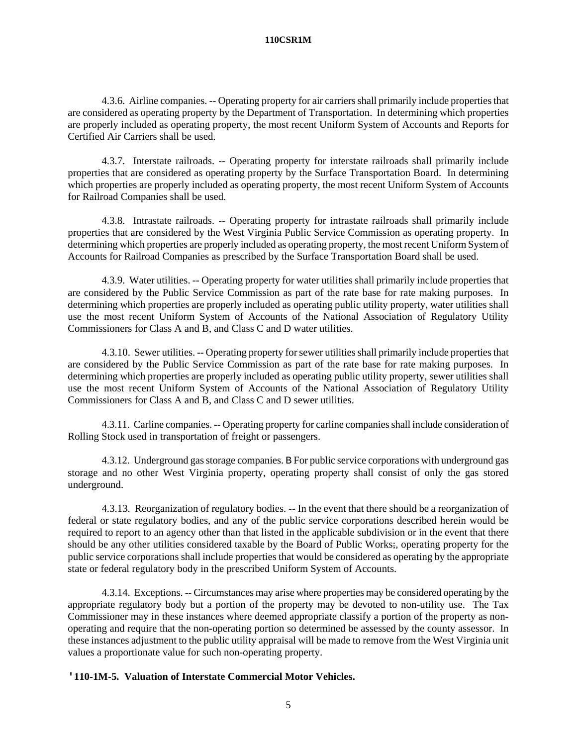4.3.6. Airline companies. -- Operating property for air carriers shall primarily include properties that are considered as operating property by the Department of Transportation. In determining which properties are properly included as operating property, the most recent Uniform System of Accounts and Reports for Certified Air Carriers shall be used.

4.3.7. Interstate railroads. -- Operating property for interstate railroads shall primarily include properties that are considered as operating property by the Surface Transportation Board. In determining which properties are properly included as operating property, the most recent Uniform System of Accounts for Railroad Companies shall be used.

4.3.8. Intrastate railroads. -- Operating property for intrastate railroads shall primarily include properties that are considered by the West Virginia Public Service Commission as operating property. In determining which properties are properly included as operating property, the most recent Uniform System of Accounts for Railroad Companies as prescribed by the Surface Transportation Board shall be used.

4.3.9. Water utilities. -- Operating property for water utilities shall primarily include properties that are considered by the Public Service Commission as part of the rate base for rate making purposes. In determining which properties are properly included as operating public utility property, water utilities shall use the most recent Uniform System of Accounts of the National Association of Regulatory Utility Commissioners for Class A and B, and Class C and D water utilities.

4.3.10. Sewer utilities. -- Operating property for sewer utilities shall primarily include properties that are considered by the Public Service Commission as part of the rate base for rate making purposes. In determining which properties are properly included as operating public utility property, sewer utilities shall use the most recent Uniform System of Accounts of the National Association of Regulatory Utility Commissioners for Class A and B, and Class C and D sewer utilities.

4.3.11. Carline companies. -- Operating property for carline companies shall include consideration of Rolling Stock used in transportation of freight or passengers.

4.3.12. Underground gas storage companies. B For public service corporations with underground gas storage and no other West Virginia property, operating property shall consist of only the gas stored underground.

4.3.13. Reorganization of regulatory bodies. -- In the event that there should be a reorganization of federal or state regulatory bodies, and any of the public service corporations described herein would be required to report to an agency other than that listed in the applicable subdivision or in the event that there should be any other utilities considered taxable by the Board of Public Works;, operating property for the public service corporations shall include properties that would be considered as operating by the appropriate state or federal regulatory body in the prescribed Uniform System of Accounts.

4.3.14. Exceptions. -- Circumstances may arise where properties may be considered operating by the appropriate regulatory body but a portion of the property may be devoted to non-utility use. The Tax Commissioner may in these instances where deemed appropriate classify a portion of the property as nonoperating and require that the non-operating portion so determined be assessed by the county assessor. In these instances adjustment to the public utility appraisal will be made to remove from the West Virginia unit values a proportionate value for such non-operating property.

# **'110-1M-5. Valuation of Interstate Commercial Motor Vehicles.**